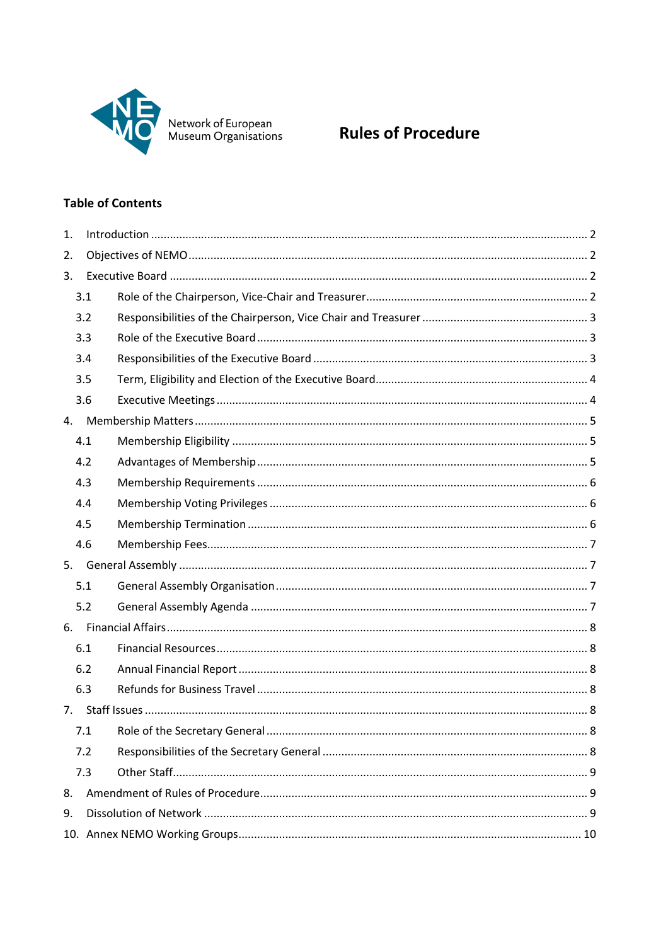

# Network of European<br>Museum Organisations **Rules of Procedure**

# **Table of Contents**

| 1. |     |  |  |  |
|----|-----|--|--|--|
| 2. |     |  |  |  |
| 3. |     |  |  |  |
|    | 3.1 |  |  |  |
|    | 3.2 |  |  |  |
|    | 3.3 |  |  |  |
|    | 3.4 |  |  |  |
|    | 3.5 |  |  |  |
|    | 3.6 |  |  |  |
| 4. |     |  |  |  |
|    | 4.1 |  |  |  |
|    | 4.2 |  |  |  |
|    | 4.3 |  |  |  |
|    | 4.4 |  |  |  |
|    | 4.5 |  |  |  |
|    | 4.6 |  |  |  |
| 5. |     |  |  |  |
|    | 5.1 |  |  |  |
|    | 5.2 |  |  |  |
| 6. |     |  |  |  |
|    | 6.1 |  |  |  |
|    | 6.2 |  |  |  |
|    | 6.3 |  |  |  |
| 7. |     |  |  |  |
|    | 7.1 |  |  |  |
|    | 7.2 |  |  |  |
|    | 7.3 |  |  |  |
| 8. |     |  |  |  |
| 9. |     |  |  |  |
|    |     |  |  |  |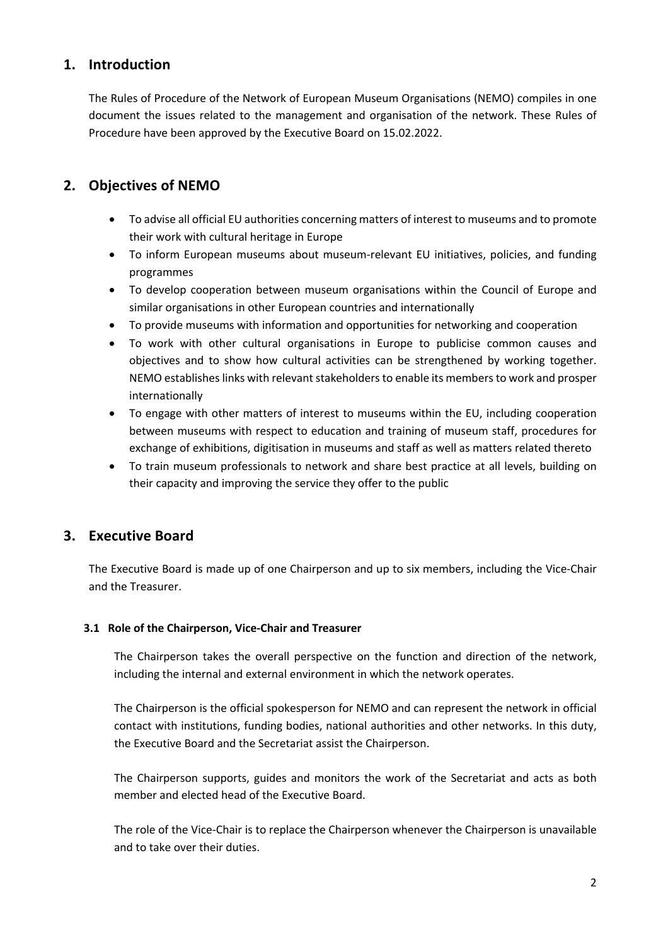# **1. Introduction**

The Rules of Procedure of the Network of European Museum Organisations (NEMO) compiles in one document the issues related to the management and organisation of the network. These Rules of Procedure have been approved by the Executive Board on 15.02.2022.

# **2. Objectives of NEMO**

- To advise all official EU authorities concerning matters of interest to museums and to promote their work with cultural heritage in Europe
- To inform European museums about museum-relevant EU initiatives, policies, and funding programmes
- To develop cooperation between museum organisations within the Council of Europe and similar organisations in other European countries and internationally
- To provide museums with information and opportunities for networking and cooperation
- To work with other cultural organisations in Europe to publicise common causes and objectives and to show how cultural activities can be strengthened by working together. NEMO establishes links with relevant stakeholders to enable its members to work and prosper internationally
- To engage with other matters of interest to museums within the EU, including cooperation between museums with respect to education and training of museum staff, procedures for exchange of exhibitions, digitisation in museums and staff as well as matters related thereto
- To train museum professionals to network and share best practice at all levels, building on their capacity and improving the service they offer to the public

# **3. Executive Board**

The Executive Board is made up of one Chairperson and up to six members, including the Vice-Chair and the Treasurer.

# **3.1 Role of the Chairperson, Vice-Chair and Treasurer**

The Chairperson takes the overall perspective on the function and direction of the network, including the internal and external environment in which the network operates.

The Chairperson is the official spokesperson for NEMO and can represent the network in official contact with institutions, funding bodies, national authorities and other networks. In this duty, the Executive Board and the Secretariat assist the Chairperson.

The Chairperson supports, guides and monitors the work of the Secretariat and acts as both member and elected head of the Executive Board.

The role of the Vice-Chair is to replace the Chairperson whenever the Chairperson is unavailable and to take over their duties.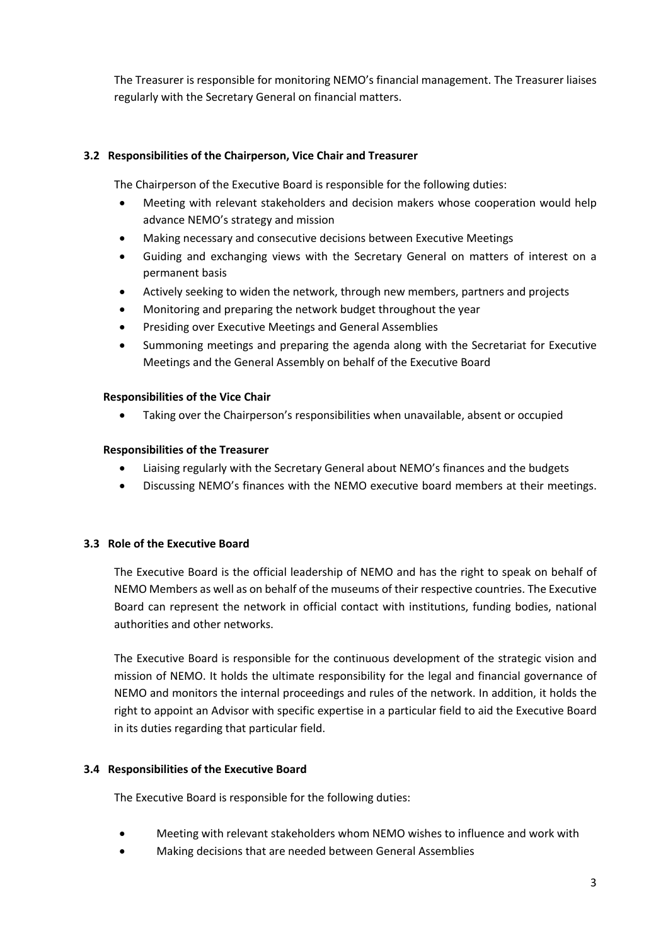The Treasurer is responsible for monitoring NEMO's financial management. The Treasurer liaises regularly with the Secretary General on financial matters.

# **3.2 Responsibilities of the Chairperson, Vice Chair and Treasurer**

The Chairperson of the Executive Board is responsible for the following duties:

- Meeting with relevant stakeholders and decision makers whose cooperation would help advance NEMO's strategy and mission
- Making necessary and consecutive decisions between Executive Meetings
- Guiding and exchanging views with the Secretary General on matters of interest on a permanent basis
- Actively seeking to widen the network, through new members, partners and projects
- Monitoring and preparing the network budget throughout the year
- Presiding over Executive Meetings and General Assemblies
- Summoning meetings and preparing the agenda along with the Secretariat for Executive Meetings and the General Assembly on behalf of the Executive Board

#### **Responsibilities of the Vice Chair**

• Taking over the Chairperson's responsibilities when unavailable, absent or occupied

#### **Responsibilities of the Treasurer**

- Liaising regularly with the Secretary General about NEMO's finances and the budgets
- Discussing NEMO's finances with the NEMO executive board members at their meetings.

# **3.3 Role of the Executive Board**

The Executive Board is the official leadership of NEMO and has the right to speak on behalf of NEMO Members as well as on behalf of the museums of their respective countries. The Executive Board can represent the network in official contact with institutions, funding bodies, national authorities and other networks.

The Executive Board is responsible for the continuous development of the strategic vision and mission of NEMO. It holds the ultimate responsibility for the legal and financial governance of NEMO and monitors the internal proceedings and rules of the network. In addition, it holds the right to appoint an Advisor with specific expertise in a particular field to aid the Executive Board in its duties regarding that particular field.

# **3.4 Responsibilities of the Executive Board**

The Executive Board is responsible for the following duties:

- Meeting with relevant stakeholders whom NEMO wishes to influence and work with
- Making decisions that are needed between General Assemblies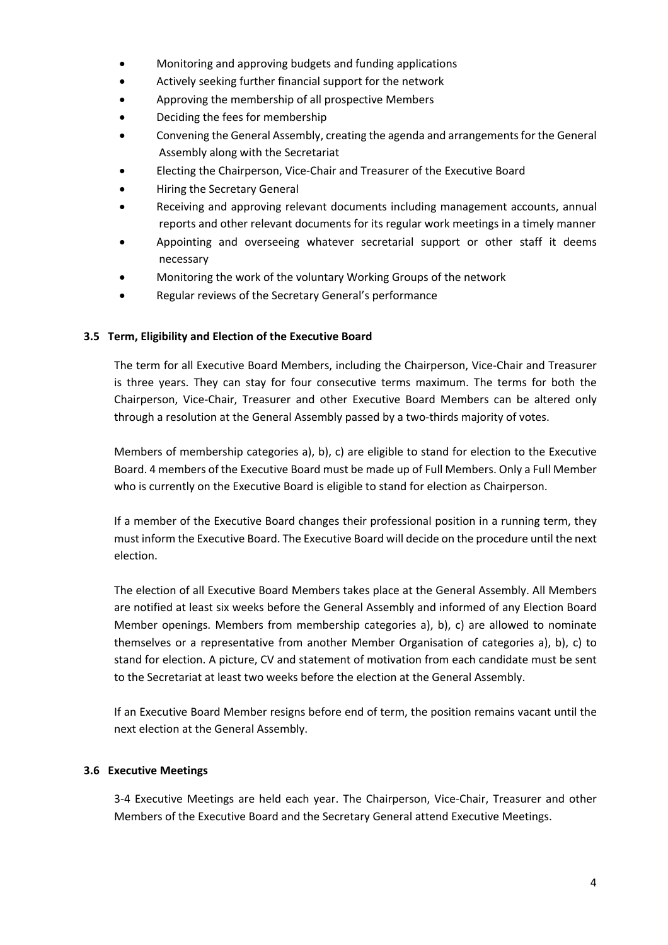- Monitoring and approving budgets and funding applications
- Actively seeking further financial support for the network
- Approving the membership of all prospective Members
- Deciding the fees for membership
- Convening the General Assembly, creating the agenda and arrangements for the General Assembly along with the Secretariat
- Electing the Chairperson, Vice-Chair and Treasurer of the Executive Board
- Hiring the Secretary General
- Receiving and approving relevant documents including management accounts, annual reports and other relevant documents for its regular work meetings in a timely manner
- Appointing and overseeing whatever secretarial support or other staff it deems necessary
- Monitoring the work of the voluntary Working Groups of the network
- Regular reviews of the Secretary General's performance

# **3.5 Term, Eligibility and Election of the Executive Board**

The term for all Executive Board Members, including the Chairperson, Vice-Chair and Treasurer is three years. They can stay for four consecutive terms maximum. The terms for both the Chairperson, Vice-Chair, Treasurer and other Executive Board Members can be altered only through a resolution at the General Assembly passed by a two-thirds majority of votes.

Members of membership categories a), b), c) are eligible to stand for election to the Executive Board. 4 members of the Executive Board must be made up of Full Members. Only a Full Member who is currently on the Executive Board is eligible to stand for election as Chairperson.

If a member of the Executive Board changes their professional position in a running term, they must inform the Executive Board. The Executive Board will decide on the procedure until the next election.

The election of all Executive Board Members takes place at the General Assembly. All Members are notified at least six weeks before the General Assembly and informed of any Election Board Member openings. Members from membership categories a), b), c) are allowed to nominate themselves or a representative from another Member Organisation of categories a), b), c) to stand for election. A picture, CV and statement of motivation from each candidate must be sent to the Secretariat at least two weeks before the election at the General Assembly.

If an Executive Board Member resigns before end of term, the position remains vacant until the next election at the General Assembly.

# **3.6 Executive Meetings**

3-4 Executive Meetings are held each year. The Chairperson, Vice-Chair, Treasurer and other Members of the Executive Board and the Secretary General attend Executive Meetings.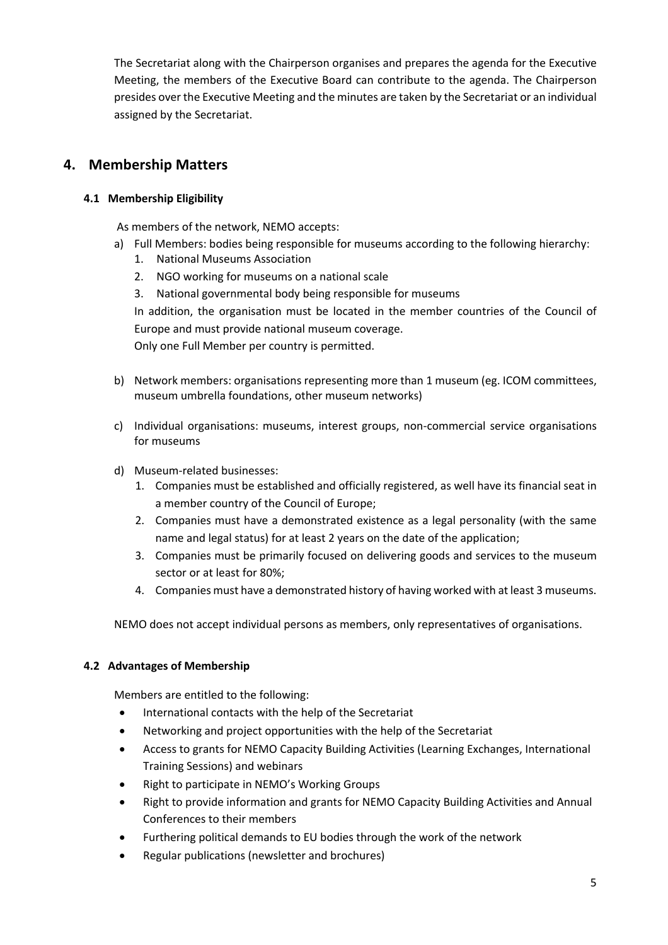The Secretariat along with the Chairperson organises and prepares the agenda for the Executive Meeting, the members of the Executive Board can contribute to the agenda. The Chairperson presides over the Executive Meeting and the minutes are taken by the Secretariat or an individual assigned by the Secretariat.

# **4. Membership Matters**

# **4.1 Membership Eligibility**

As members of the network, NEMO accepts:

- a) Full Members: bodies being responsible for museums according to the following hierarchy:
	- 1. National Museums Association
	- 2. NGO working for museums on a national scale
	- 3. National governmental body being responsible for museums

In addition, the organisation must be located in the member countries of the Council of Europe and must provide national museum coverage.

Only one Full Member per country is permitted.

- b) Network members: organisations representing more than 1 museum (eg. ICOM committees, museum umbrella foundations, other museum networks)
- c) Individual organisations: museums, interest groups, non-commercial service organisations for museums
- d) Museum-related businesses:
	- 1. Companies must be established and officially registered, as well have its financial seat in a member country of the Council of Europe;
	- 2. Companies must have a demonstrated existence as a legal personality (with the same name and legal status) for at least 2 years on the date of the application;
	- 3. Companies must be primarily focused on delivering goods and services to the museum sector or at least for 80%;
	- 4. Companies must have a demonstrated history of having worked with at least 3 museums.

NEMO does not accept individual persons as members, only representatives of organisations.

# **4.2 Advantages of Membership**

Members are entitled to the following:

- International contacts with the help of the Secretariat
- Networking and project opportunities with the help of the Secretariat
- Access to grants for NEMO Capacity Building Activities (Learning Exchanges, International Training Sessions) and webinars
- Right to participate in NEMO's Working Groups
- Right to provide information and grants for NEMO Capacity Building Activities and Annual Conferences to their members
- Furthering political demands to EU bodies through the work of the network
- Regular publications (newsletter and brochures)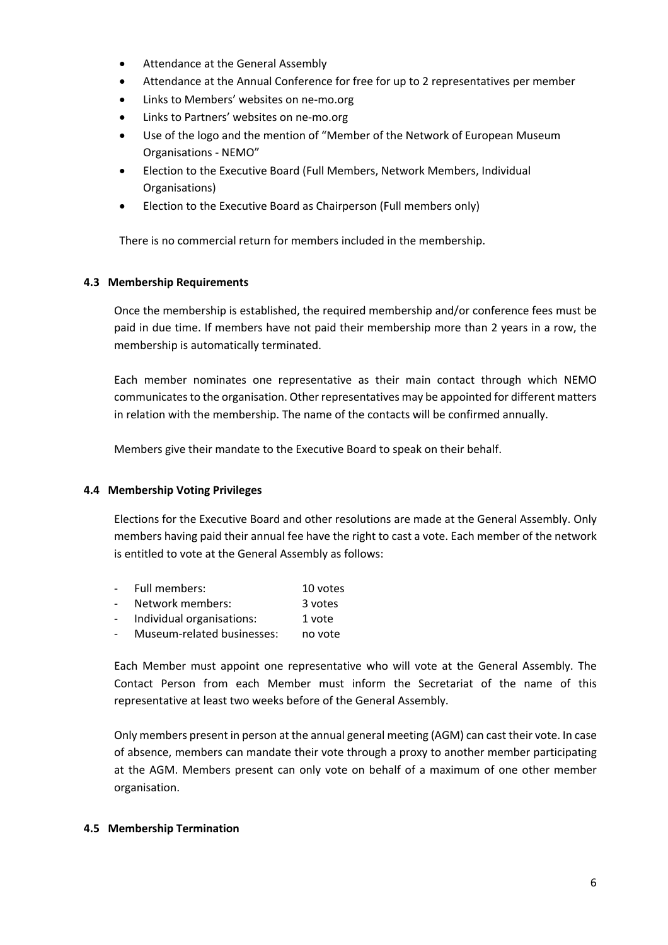- Attendance at the General Assembly
- Attendance at the Annual Conference for free for up to 2 representatives per member
- Links to Members' websites on ne-mo.org
- Links to Partners' websites on ne-mo.org
- Use of the logo and the mention of "Member of the Network of European Museum Organisations - NEMO"
- Election to the Executive Board (Full Members, Network Members, Individual Organisations)
- Election to the Executive Board as Chairperson (Full members only)

There is no commercial return for members included in the membership.

#### **4.3 Membership Requirements**

Once the membership is established, the required membership and/or conference fees must be paid in due time. If members have not paid their membership more than 2 years in a row, the membership is automatically terminated.

Each member nominates one representative as their main contact through which NEMO communicates to the organisation. Other representatives may be appointed for different matters in relation with the membership. The name of the contacts will be confirmed annually.

Members give their mandate to the Executive Board to speak on their behalf.

#### **4.4 Membership Voting Privileges**

Elections for the Executive Board and other resolutions are made at the General Assembly. Only members having paid their annual fee have the right to cast a vote. Each member of the network is entitled to vote at the General Assembly as follows:

- Full members: 10 votes Network members: 3 votes Individual organisations: 1 vote
- Museum-related businesses: no vote

Each Member must appoint one representative who will vote at the General Assembly. The Contact Person from each Member must inform the Secretariat of the name of this representative at least two weeks before of the General Assembly.

Only members present in person at the annual general meeting (AGM) can cast their vote. In case of absence, members can mandate their vote through a proxy to another member participating at the AGM. Members present can only vote on behalf of a maximum of one other member organisation.

#### **4.5 Membership Termination**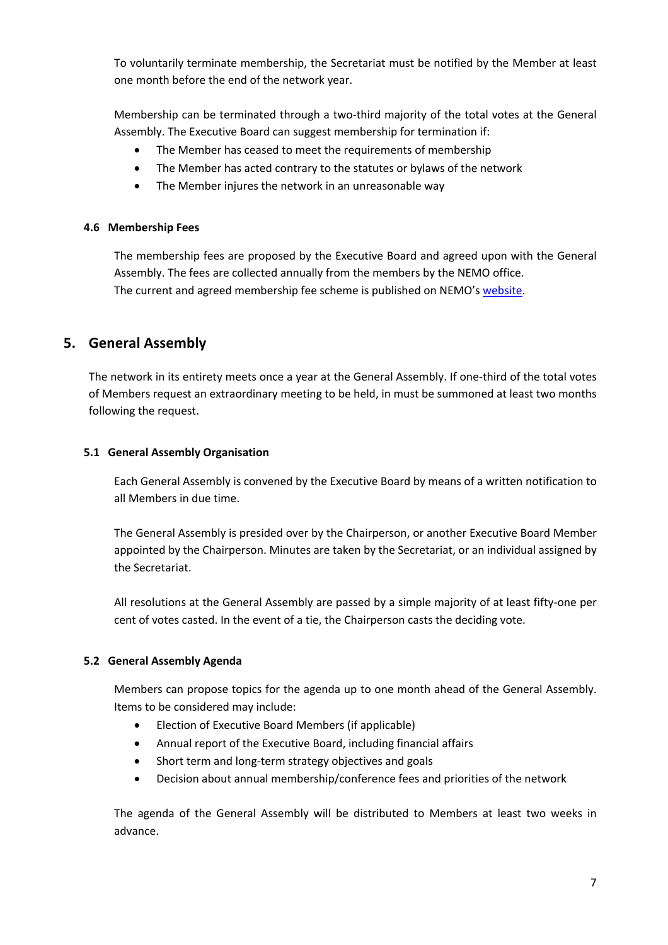To voluntarily terminate membership, the Secretariat must be notified by the Member at least one month before the end of the network year.

Membership can be terminated through a two-third majority of the total votes at the General Assembly. The Executive Board can suggest membership for termination if:

- The Member has ceased to meet the requirements of membership
- The Member has acted contrary to the statutes or bylaws of the network
- The Member injures the network in an unreasonable way

#### **4.6 Membership Fees**

The membership fees are proposed by the Executive Board and agreed upon with the General Assembly. The fees are collected annually from the members by the NEMO office. The current and agreed membership fee scheme is published on NEMO's website.

# **5. General Assembly**

The network in its entirety meets once a year at the General Assembly. If one-third of the total votes of Members request an extraordinary meeting to be held, in must be summoned at least two months following the request.

#### **5.1 General Assembly Organisation**

Each General Assembly is convened by the Executive Board by means of a written notification to all Members in due time.

The General Assembly is presided over by the Chairperson, or another Executive Board Member appointed by the Chairperson. Minutes are taken by the Secretariat, or an individual assigned by the Secretariat.

All resolutions at the General Assembly are passed by a simple majority of at least fifty-one per cent of votes casted. In the event of a tie, the Chairperson casts the deciding vote.

# **5.2 General Assembly Agenda**

Members can propose topics for the agenda up to one month ahead of the General Assembly. Items to be considered may include:

- Election of Executive Board Members (if applicable)
- Annual report of the Executive Board, including financial affairs
- Short term and long-term strategy objectives and goals
- Decision about annual membership/conference fees and priorities of the network

The agenda of the General Assembly will be distributed to Members at least two weeks in advance.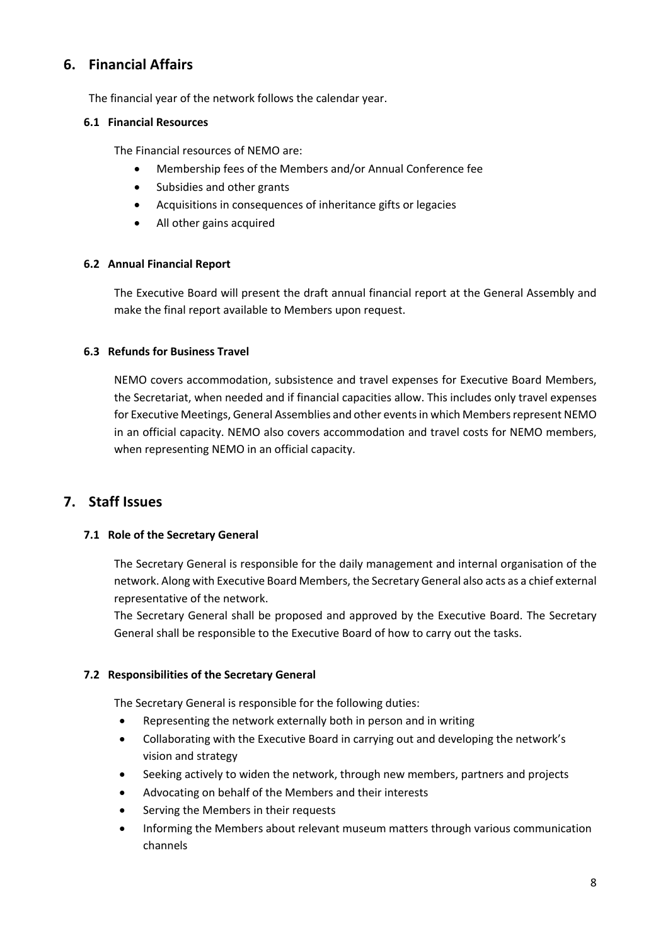# **6. Financial Affairs**

The financial year of the network follows the calendar year.

#### **6.1 Financial Resources**

The Financial resources of NEMO are:

- Membership fees of the Members and/or Annual Conference fee
- Subsidies and other grants
- Acquisitions in consequences of inheritance gifts or legacies
- All other gains acquired

#### **6.2 Annual Financial Report**

The Executive Board will present the draft annual financial report at the General Assembly and make the final report available to Members upon request.

#### **6.3 Refunds for Business Travel**

NEMO covers accommodation, subsistence and travel expenses for Executive Board Members, the Secretariat, when needed and if financial capacities allow. This includes only travel expenses for Executive Meetings, General Assemblies and other events in which Members represent NEMO in an official capacity. NEMO also covers accommodation and travel costs for NEMO members, when representing NEMO in an official capacity.

# **7. Staff Issues**

# **7.1 Role of the Secretary General**

The Secretary General is responsible for the daily management and internal organisation of the network. Along with Executive Board Members, the Secretary General also acts as a chief external representative of the network.

The Secretary General shall be proposed and approved by the Executive Board. The Secretary General shall be responsible to the Executive Board of how to carry out the tasks.

#### **7.2 Responsibilities of the Secretary General**

The Secretary General is responsible for the following duties:

- Representing the network externally both in person and in writing
- Collaborating with the Executive Board in carrying out and developing the network's vision and strategy
- Seeking actively to widen the network, through new members, partners and projects
- Advocating on behalf of the Members and their interests
- Serving the Members in their requests
- Informing the Members about relevant museum matters through various communication channels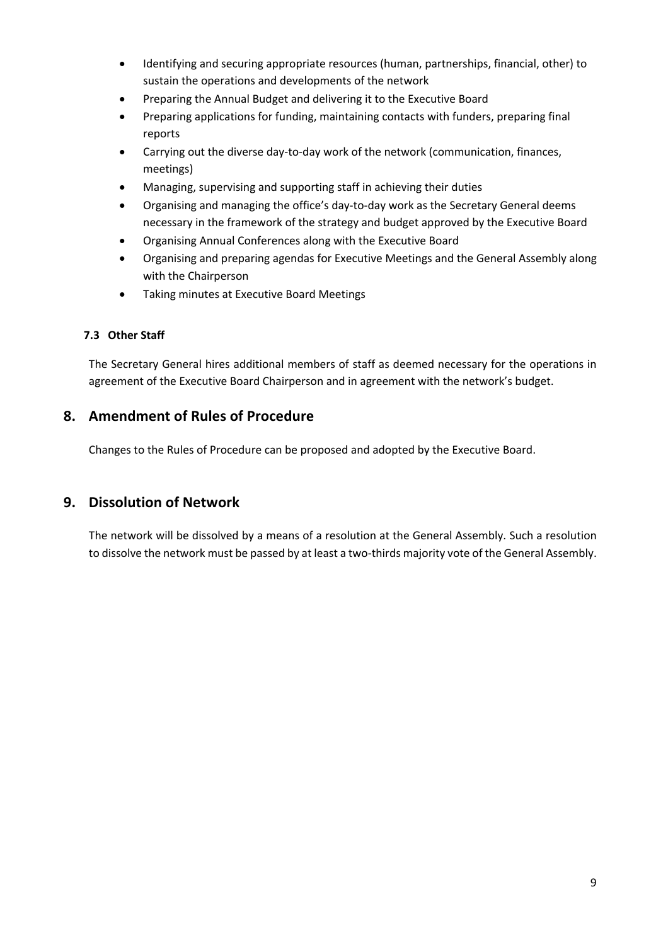- Identifying and securing appropriate resources (human, partnerships, financial, other) to sustain the operations and developments of the network
- Preparing the Annual Budget and delivering it to the Executive Board
- Preparing applications for funding, maintaining contacts with funders, preparing final reports
- Carrying out the diverse day-to-day work of the network (communication, finances, meetings)
- Managing, supervising and supporting staff in achieving their duties
- Organising and managing the office's day-to-day work as the Secretary General deems necessary in the framework of the strategy and budget approved by the Executive Board
- Organising Annual Conferences along with the Executive Board
- Organising and preparing agendas for Executive Meetings and the General Assembly along with the Chairperson
- Taking minutes at Executive Board Meetings

# **7.3 Other Staff**

The Secretary General hires additional members of staff as deemed necessary for the operations in agreement of the Executive Board Chairperson and in agreement with the network's budget.

# **8. Amendment of Rules of Procedure**

Changes to the Rules of Procedure can be proposed and adopted by the Executive Board.

# **9. Dissolution of Network**

The network will be dissolved by a means of a resolution at the General Assembly. Such a resolution to dissolve the network must be passed by at least a two-thirds majority vote of the General Assembly.